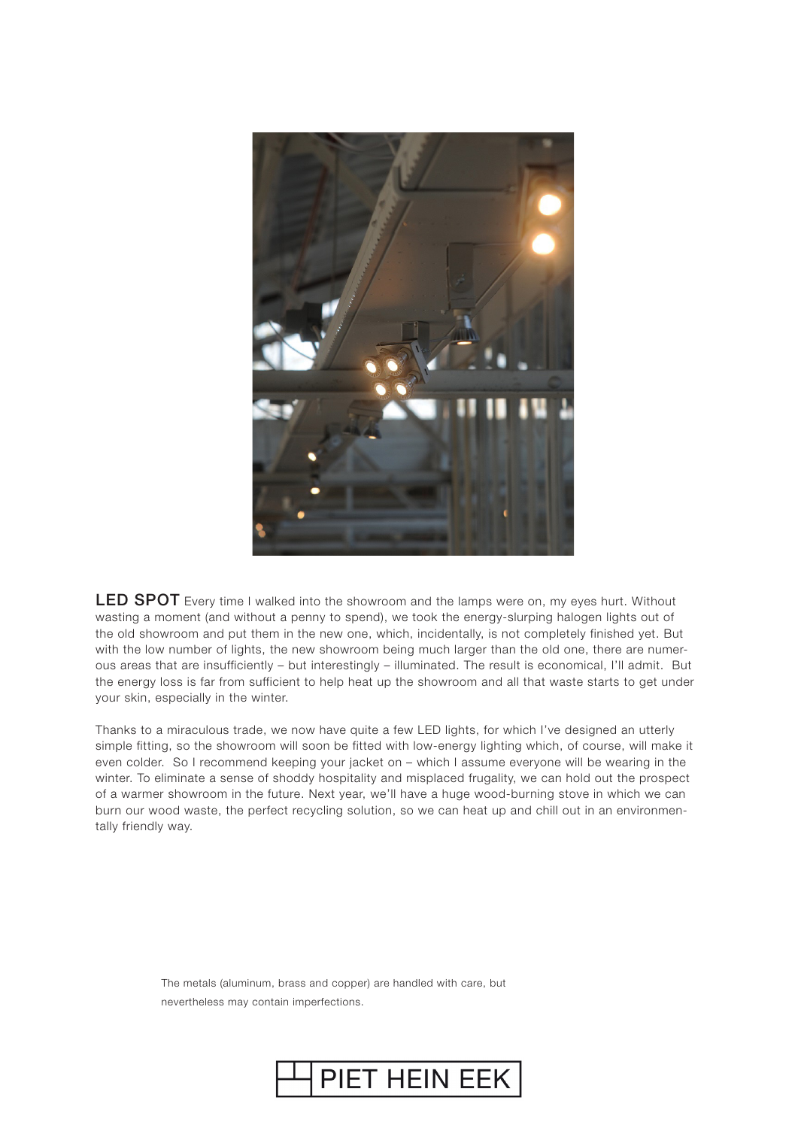

LED SPOT Every time I walked into the showroom and the lamps were on, my eyes hurt. Without wasting a moment (and without a penny to spend), we took the energy-slurping halogen lights out of the old showroom and put them in the new one, which, incidentally, is not completely finished yet. But with the low number of lights, the new showroom being much larger than the old one, there are numerous areas that are insufficiently – but interestingly – illuminated. The result is economical, I'll admit. But the energy loss is far from sufficient to help heat up the showroom and all that waste starts to get under your skin, especially in the winter.

Thanks to a miraculous trade, we now have quite a few LED lights, for which I've designed an utterly simple fitting, so the showroom will soon be fitted with low-energy lighting which, of course, will make it even colder. So I recommend keeping your jacket on – which I assume everyone will be wearing in the winter. To eliminate a sense of shoddy hospitality and misplaced frugality, we can hold out the prospect of a warmer showroom in the future. Next year, we'll have a huge wood-burning stove in which we can burn our wood waste, the perfect recycling solution, so we can heat up and chill out in an environmentally friendly way.

> The metals (aluminum, brass and copper) are handled with care, but nevertheless may contain imperfections.

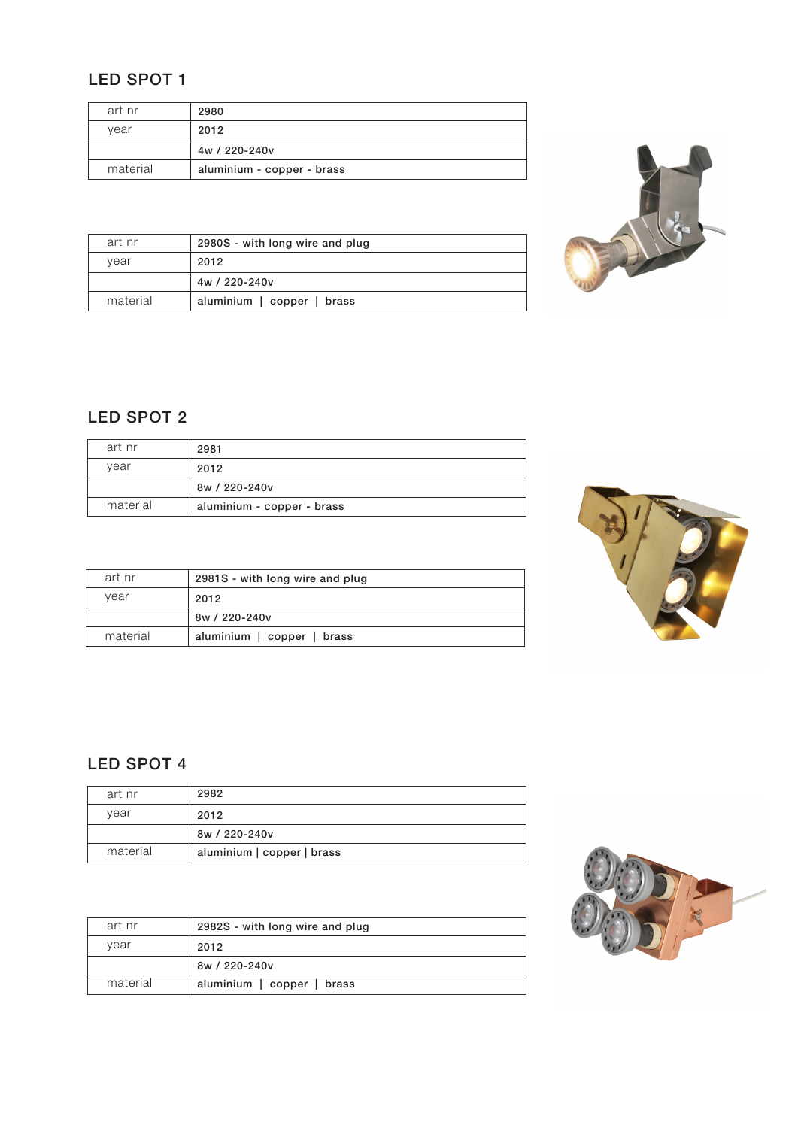## LED SPOT 1

| art nr   | 2980                       |
|----------|----------------------------|
| year     | 2012                       |
|          | 4w / 220-240v              |
| material | aluminium - copper - brass |



| art nr   | 2980S - with long wire and plug |
|----------|---------------------------------|
| vear     | 2012                            |
|          | 4w / 220-240v                   |
| material | aluminium   copper   brass      |

## LED SPOT 2

| art nr   | 2981                       |
|----------|----------------------------|
| vear     | 2012                       |
|          | 8w / 220-240v              |
| material | aluminium - copper - brass |



| art nr   | 2981S - with long wire and plug |
|----------|---------------------------------|
| year     | 2012                            |
|          | 8w / 220-240v                   |
| material | aluminium   copper   brass      |

## LED SPOT 4

| art nr   | 2982                       |
|----------|----------------------------|
| vear     | 2012                       |
|          | 8w / 220-240v              |
| material | aluminium   copper   brass |

| art nr   | 2982S - with long wire and plug |
|----------|---------------------------------|
| vear     | 2012                            |
|          | 8w / 220-240v                   |
| material | aluminium   copper   brass      |